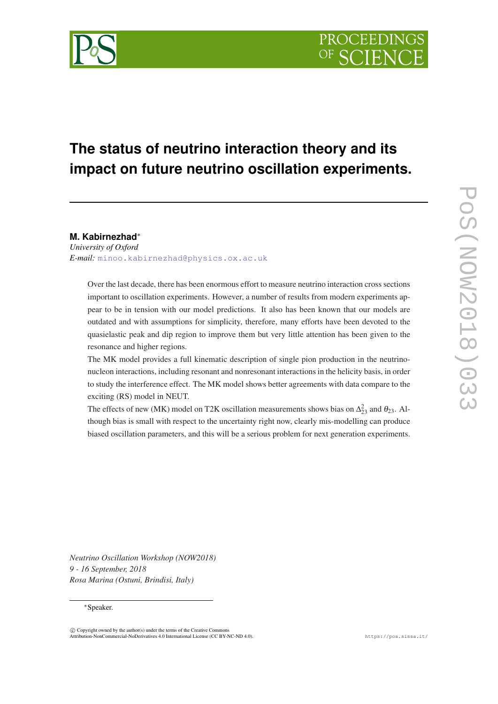

# **The status of neutrino interaction theory and its impact on future neutrino oscillation experiments.**

# **M. Kabirnezhad**<sup>∗</sup>

*University of Oxford E-mail:* [minoo.kabirnezhad@physics.ox.ac.uk](mailto:minoo.kabirnezhad@physics.ox.ac.uk)

Over the last decade, there has been enormous effort to measure neutrino interaction cross sections important to oscillation experiments. However, a number of results from modern experiments appear to be in tension with our model predictions. It also has been known that our models are outdated and with assumptions for simplicity, therefore, many efforts have been devoted to the quasielastic peak and dip region to improve them but very little attention has been given to the resonance and higher regions.

The MK model provides a full kinematic description of single pion production in the neutrinonucleon interactions, including resonant and nonresonant interactions in the helicity basis, in order to study the interference effect. The MK model shows better agreements with data compare to the exciting (RS) model in NEUT.

The effects of new (MK) model on T2K oscillation measurements shows bias on  $\Delta_{23}^2$  and  $\theta_{23}$ . Although bias is small with respect to the uncertainty right now, clearly mis-modelling can produce biased oscillation parameters, and this will be a serious problem for next generation experiments.

*Neutrino Oscillation Workshop (NOW2018) 9 - 16 September, 2018 Rosa Marina (Ostuni, Brindisi, Italy)*

#### <sup>∗</sup>Speaker.

 $\overline{c}$  Copyright owned by the author(s) under the terms of the Creative Common Attribution-NonCommercial-NoDerivatives 4.0 International License (CC BY-NC-ND 4.0). https://pos.sissa.it/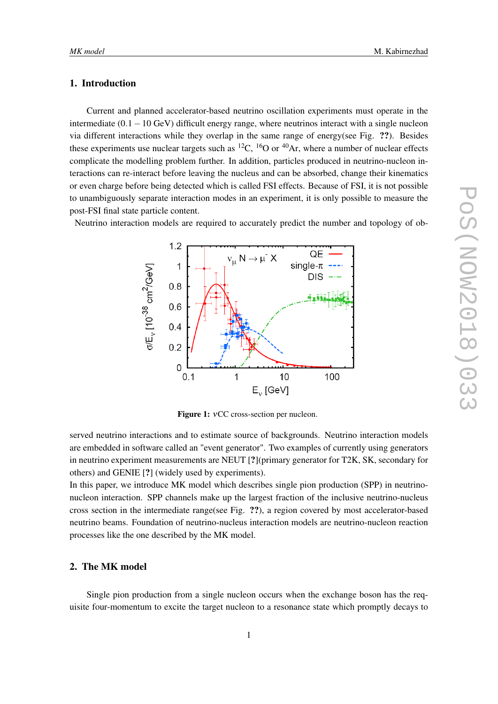# 1. Introduction

Current and planned accelerator-based neutrino oscillation experiments must operate in the intermediate (0.1−10 GeV) difficult energy range, where neutrinos interact with a single nucleon via different interactions while they overlap in the same range of energy(see Fig. ??). Besides these experiments use nuclear targets such as  ${}^{12}C$ ,  ${}^{16}O$  or  ${}^{40}Ar$ , where a number of nuclear effects complicate the modelling problem further. In addition, particles produced in neutrino-nucleon interactions can re-interact before leaving the nucleus and can be absorbed, change their kinematics or even charge before being detected which is called FSI effects. Because of FSI, it is not possible to unambiguously separate interaction modes in an experiment, it is only possible to measure the post-FSI final state particle content.

Neutrino interaction models are required to accurately predict the number and topology of ob-



Figure 1: νCC cross-section per nucleon.

served neutrino interactions and to estimate source of backgrounds. Neutrino interaction models are embedded in software called an "event generator". Two examples of currently using generators in neutrino experiment measurements are NEUT [?](primary generator for T2K, SK, secondary for others) and GENIE [?] (widely used by experiments).

In this paper, we introduce MK model which describes single pion production (SPP) in neutrinonucleon interaction. SPP channels make up the largest fraction of the inclusive neutrino-nucleus cross section in the intermediate range(see Fig. ??), a region covered by most accelerator-based neutrino beams. Foundation of neutrino-nucleus interaction models are neutrino-nucleon reaction processes like the one described by the MK model.

# 2. The MK model

Single pion production from a single nucleon occurs when the exchange boson has the requisite four-momentum to excite the target nucleon to a resonance state which promptly decays to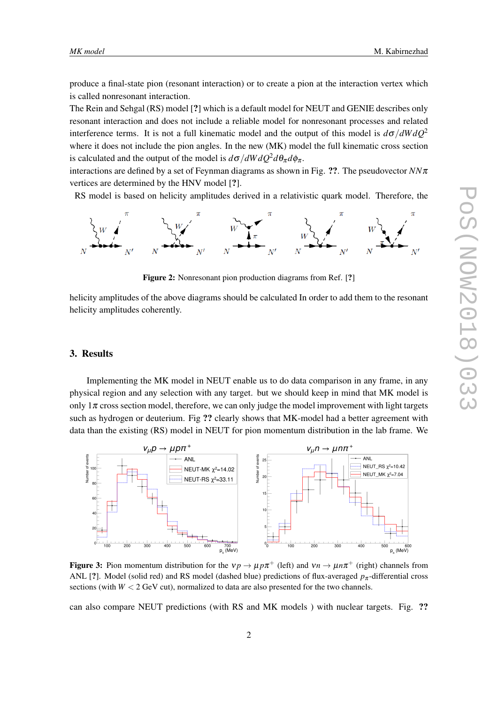produce a final-state pion (resonant interaction) or to create a pion at the interaction vertex which is called nonresonant interaction.

The Rein and Sehgal (RS) model [?] which is a default model for NEUT and GENIE describes only resonant interaction and does not include a reliable model for nonresonant processes and related interference terms. It is not a full kinematic model and the output of this model is  $d\sigma/dW dQ^2$ where it does not include the pion angles. In the new (MK) model the full kinematic cross section is calculated and the output of the model is  $d\sigma/dW dQ^2 d\theta_\pi d\phi_\pi$ .

interactions are defined by a set of Feynman diagrams as shown in Fig. ??. The pseudovector  $N\pi$ vertices are determined by the HNV model [?].

RS model is based on helicity amplitudes derived in a relativistic quark model. Therefore, the



Figure 2: Nonresonant pion production diagrams from Ref. [?]

helicity amplitudes of the above diagrams should be calculated In order to add them to the resonant helicity amplitudes coherently.

#### 3. Results

Implementing the MK model in NEUT enable us to do data comparison in any frame, in any physical region and any selection with any target. but we should keep in mind that MK model is only  $1\pi$  cross section model, therefore, we can only judge the model improvement with light targets such as hydrogen or deuterium. Fig ?? clearly shows that MK-model had a better agreement with data than the existing (RS) model in NEUT for pion momentum distribution in the lab frame. We



Figure 3: Pion momentum distribution for the  $v p \to \mu p \pi^+$  (left) and  $v n \to \mu n \pi^+$  (right) channels from ANL [?]. Model (solid red) and RS model (dashed blue) predictions of flux-averaged  $p_{\pi}$ -differential cross sections (with  $W < 2$  GeV cut), normalized to data are also presented for the two channels.

can also compare NEUT predictions (with RS and MK models ) with nuclear targets. Fig. ??